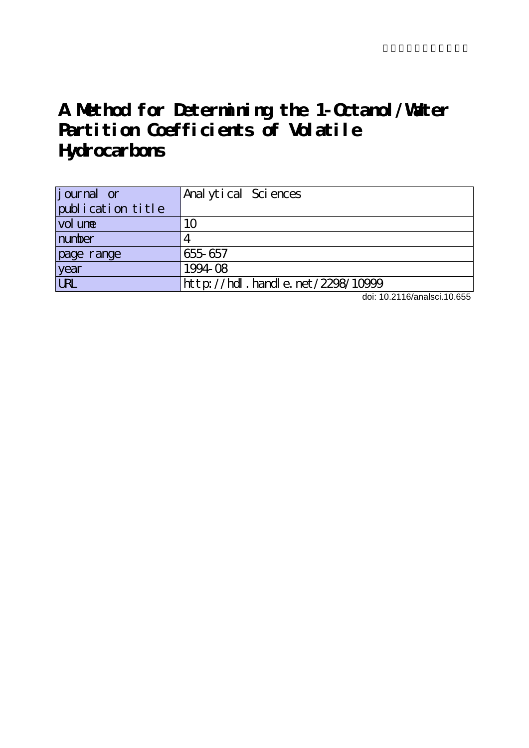# **A Method for Determining the 1-Octanol/Water Partition Coefficients of Volatile Hydrocarbons**

| <i>j</i> ournal or | Anal ytical Sciences             |
|--------------------|----------------------------------|
| publication title  |                                  |
| vol une            | 1 <sub>O</sub>                   |
| number             |                                  |
| page range         | 655-657                          |
| year               | 1994-08                          |
| URL                | http://hdl.handle.net/2298/10999 |

doi: 10.2116/analsci.10.655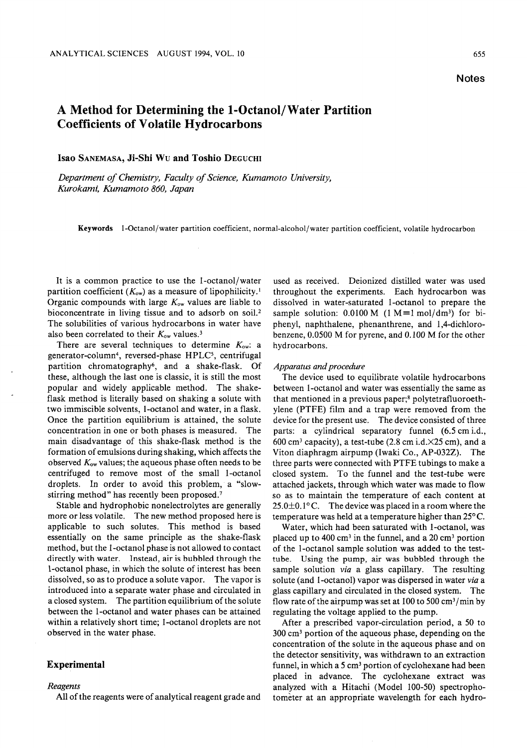# Method for Determining the 1-Octanol/Water Partition Coefficients of Volatile Hydrocarbons

Isao Sanemasa, Ji-Shi Wu and Toshio Deguchi

Department of Chemistry, Faculty of Science, Kumamoto University, Kurokami, Kumamoto 860, Japan

Keywords 1-Octanol/water partition coefficient, normal-alcohol/water partition coefficient, volatile hydrocarbon

It is a common practice to use the 1-octanol/water partition coefficient  $(K_{ow})$  as a measure of lipophilicity.<sup>1</sup> Organic compounds with large  $K_{ow}$  values are liable to bioconcentrate in living tissue and to adsorb on soil.<sup>2</sup> The solubilities of various hydrocarbons in water have also been correlated to their  $K_{\text{ow}}$  values.<sup>3</sup>

There are several techniques to determine  $K_{\text{ow}}$ : a generator-column<sup>4</sup>, reversed-phase HPLC<sup>5</sup>, centrifugal partition chromatography<sup>6</sup>, and a shake-flask. Of these, although the last one is classic, it is still the most popular and widely applicable method. The shakeflask method is literally based on shaking a solute with two immiscible solvents, 1-octanol and water, in a flask. Once the partition equilibrium is attained, the solute concentration in one or both phases is measured. The main disadvantage of this shake-flask method is the formation of emulsions during shaking, which affects the observed  $K_{\text{ow}}$  values; the aqueous phase often needs to be centrifuged to remove most of the small 1-octanol droplets. In order to avoid this problem, a "slowstirring method" has recently been proposed.<sup>7</sup>

Stable and hydrophobic nonelectrolytes are generally more or less volatile. The new method proposed here is applicable to such solutes. This method is based essentially on the same principle as the shake-flask method, but the 1-octanol phase is not allowed to contact directly with water. Instead, air is bubbled through the 1-octanol phase, in which the solute of interest has been dissolved, so as to produce a solute vapor. The vapor is introduced into a separate water phase and circulated in a closed system. The partition equilibrium of the solute between the 1-octanol and water phases can be attained within a relatively short time; 1-octanol droplets are not observed in the water phase.

# Experimental

## Reagents

All of the reagents were of analytical reagent grade and

used as received. Deionized distilled water was used throughout the experiments. Each hydrocarbon was dissolved in water-saturated 1-octanol to prepare the sample solution:  $0.0100$  M (1 M = 1 mol/dm<sup>3</sup>) for biphenyl, naphthalene, phenanthrene, and 1,4-dichlorobenzene, 0.0500 M for pyrene, and 0.100 M for the other hydrocarbons.

#### Apparatus and procedure

The device used to equilibrate volatile hydrocarbons between 1-octanol and water was essentially the same as that mentioned in a previous paper;<sup>8</sup> polytetrafluoroethylene (PTFE) film and a trap were removed from the device for the present use. The device consisted of three parts: a cylindrical separatory funnel  $(6.5 \text{ cm} \text{ i.d.},$ 600 cm<sup>3</sup> capacity), a test-tube (2.8 cm i.d. $\times$ 25 cm), and a Viton diaphragm airpump (Iwaki Co., AP-032Z). The three parts were connected with PTFE tubings to make closed system. To the funnel and the test-tube were attached jackets, through which water was made to flow so as to maintain the temperature of each content at  $25.0\pm0.1^{\circ}$  C. The device was placed in a room where the temperature was held at a temperature higher than  $25^{\circ}$ C.

Water, which had been saturated with 1-octanol, was placed up to  $400 \text{ cm}^3$  in the funnel, and a  $20 \text{ cm}^3$  portion of the 1-octanol sample solution was added to the testtube. Using the pump, air was bubbled through the sample solution via a glass capillary. The resulting solute (and 1-octanol) vapor was dispersed in water via a glass capillary and circulated in the closed system. The flow rate of the airpump was set at 100 to 500  $\text{cm}^3/\text{min}$  by regulating the voltage applied to the pump.

After a prescribed vapor-circulation period, a 50 to 300 cm3 portion of the aqueous phase, depending on the concentration of the solute in the aqueous phase and on the detector sensitivity, was withdrawn to an extraction funnel, in which a  $5 \text{ cm}^3$  portion of cyclohexane had been placed in advance. The cyclohexane extract was analyzed with a Hitachi (Model 100-50) spectrophotometer at an appropriate wavelength for each hydro-

#### Notes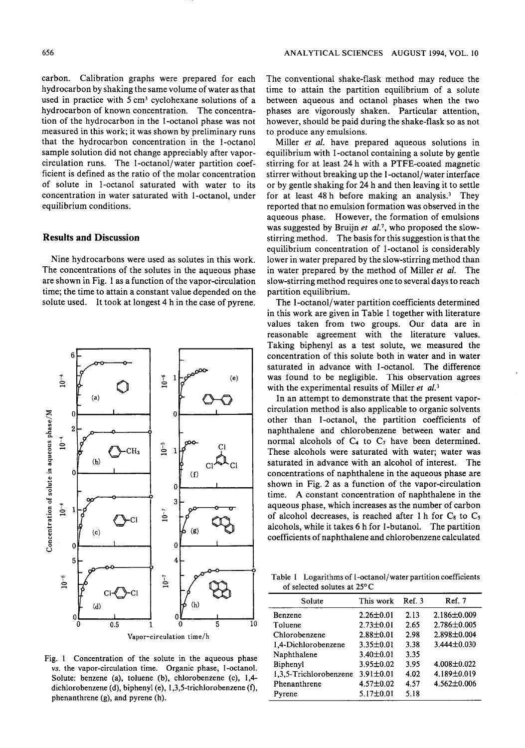carbon. Calibration graphs were prepared for each hydrocarbon by shaking the same volume of water as that used in practice with  $5 \text{ cm}^3$  cyclohexane solutions of a hydrocarbon of known concentration. The concentra tion of the hydrocarbon in the 1-octanol phase was not measured in this work; it was shown by preliminary runs that the hydrocarbon concentration in the 1-octanol sample solution did not change appreciably after vaporcirculation runs. The 1-octanol/water partition coef ficient is defined as the ratio of the molar concentration of solute in 1-octanol saturated with water to its concentration in water saturated with 1-octanol, under equilibrium conditions.

## Results and Discussion

Nine hydrocarbons were used as solutes in this work. The concentrations of the solutes in the aqueous phase are shown in Fig. 1 as a function of the vapor-circulation time; the time to attain a constant value depended on the solute used. It took at longest 4 h in the case of pyrene.



Fig. 1 Concentration of the solute in the aqueous phase vs. the vapor-circulation time. Organic phase, 1-octanol. Solute: benzene (a), toluene (b), chlorobenzene (c), 1,4 dichlorobenzene (d), biphenyl (e), 1,3,5-trichlorobenzene (f), phenanthrene (g), and pyrene (h).

The conventional shake-flask method may reduce the time to attain the partition equilibrium of a solute between aqueous and octanol phases when the two phases are vigorously shaken. Particular attention, however, should be paid during the shake-flask so as not to produce any emulsions.

Miller *et al.* have prepared aqueous solutions in equilibrium with 1-octanol containing a solute by gentle stirring for at least 24 h with a PTFE-coated magnetic stirrer without breaking up the 1-octanol/water interface or by gentle shaking for 24 h and then leaving it to settle for at least 48 before making an analysis.3 They reported that no emulsion formation was observed in the aqueous phase. However, the formation of emulsions was suggested by Bruijn et  $al.^7$ , who proposed the slowstirring method. The basis for this suggestion is that the equilibrium concentration of 1-octanol is considerably lower in water prepared by the slow-stirring method than in water prepared by the method of Miller et al. The slow-stirring method requires one to several days to reach partition equilibrium.

The 1-octanol/water partition coefficients determined in this work are given in Table 1 together with literature values taken from two groups. Our data are in reasonable agreement with the literature values. Taking biphenyl as a test solute, we measured the concentration of this solute both in water and in water saturated in advance with 1-octanol. The difference was found to be negligible. This observation agrees with the experimental results of Miller et al.<sup>3</sup>

In an attempt to demonstrate that the present vaporcirculation method is also applicable to organic solvents other than 1-octanol, the partition coefficients of naphthalene and chlorobenzene between water and normal alcohols of  $C_4$  to  $C_7$  have been determined. These alcohols were saturated with water; water was saturated in advance with an alcohol of interest. The concentrations of naphthalene in the aqueous phase are shown in Fig. 2 as a function of the vapor-circulation time. A constant concentration of naphthalene in the aqueous phase, which increases as the number of carbon of alcohol decreases, is reached after 1 h for  $C_8$  to  $C_5$ alcohols, while it takes 6 h for 1-butanol. The partition coefficients of naphthalene and chlorobenzene calculated

Table 1 Logarithms of 1-octanol/water partition coefficients of selected solutes at 25°

| Solute                 | This work       | Ref. 3 | Ref. 7            |
|------------------------|-----------------|--------|-------------------|
| <b>Benzene</b>         | $2.26 \pm 0.01$ | 2.13   | $2.186 \pm 0.009$ |
| Toluene                | $2.73 \pm 0.01$ | 2.65   | $2.786 \pm 0.005$ |
| Chlorobenzene          | $2.88 \pm 0.01$ | 2.98   | 2.898±0.004       |
| 1,4-Dichlorobenzene    | $3.35 \pm 0.01$ | 3.38   | $3.444 \pm 0.030$ |
| Naphthalene            | $3.40 \pm 0.01$ | 3.35   |                   |
| Biphenyl               | $3.95 \pm 0.02$ | 3.95   | 4.008±0.022       |
| 1,3,5-Trichlorobenzene | $3.91 \pm 0.01$ | 4.02   | 4.189±0.019       |
| Phenanthrene           | $4.57 \pm 0.02$ | 4.57   | $4.562 \pm 0.006$ |
| Pyrene                 | $5.17 \pm 0.01$ | 5.18   |                   |